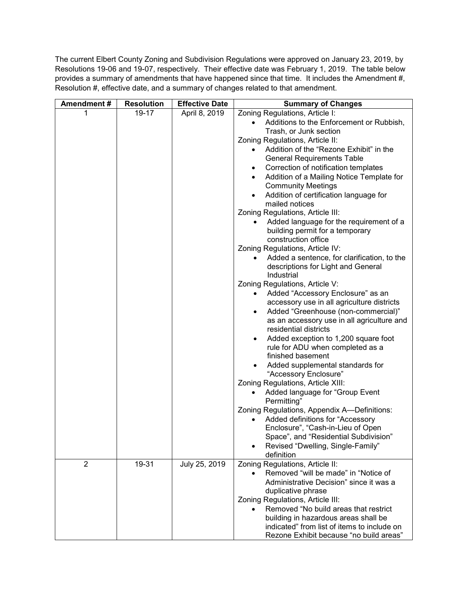The current Elbert County Zoning and Subdivision Regulations were approved on January 23, 2019, by Resolutions 19-06 and 19-07, respectively. Their effective date was February 1, 2019. The table below provides a summary of amendments that have happened since that time. It includes the Amendment #, Resolution #, effective date, and a summary of changes related to that amendment.

| Amendment#     | <b>Resolution</b> | <b>Effective Date</b> | <b>Summary of Changes</b>                                                           |
|----------------|-------------------|-----------------------|-------------------------------------------------------------------------------------|
| 1              | 19-17             | April 8, 2019         | Zoning Regulations, Article I:                                                      |
|                |                   |                       | Additions to the Enforcement or Rubbish,                                            |
|                |                   |                       | Trash, or Junk section                                                              |
|                |                   |                       | Zoning Regulations, Article II:                                                     |
|                |                   |                       | Addition of the "Rezone Exhibit" in the                                             |
|                |                   |                       | <b>General Requirements Table</b>                                                   |
|                |                   |                       | Correction of notification templates<br>$\bullet$                                   |
|                |                   |                       | Addition of a Mailing Notice Template for<br>$\bullet$<br><b>Community Meetings</b> |
|                |                   |                       | Addition of certification language for                                              |
|                |                   |                       | mailed notices                                                                      |
|                |                   |                       | Zoning Regulations, Article III:                                                    |
|                |                   |                       | Added language for the requirement of a                                             |
|                |                   |                       | building permit for a temporary                                                     |
|                |                   |                       | construction office                                                                 |
|                |                   |                       | Zoning Regulations, Article IV:                                                     |
|                |                   |                       | Added a sentence, for clarification, to the<br>$\bullet$                            |
|                |                   |                       | descriptions for Light and General                                                  |
|                |                   |                       | Industrial                                                                          |
|                |                   |                       | Zoning Regulations, Article V:                                                      |
|                |                   |                       | Added "Accessory Enclosure" as an<br>$\bullet$                                      |
|                |                   |                       | accessory use in all agriculture districts                                          |
|                |                   |                       | Added "Greenhouse (non-commercial)"<br>$\bullet$                                    |
|                |                   |                       | as an accessory use in all agriculture and<br>residential districts                 |
|                |                   |                       | Added exception to 1,200 square foot                                                |
|                |                   |                       | rule for ADU when completed as a                                                    |
|                |                   |                       | finished basement                                                                   |
|                |                   |                       | Added supplemental standards for                                                    |
|                |                   |                       | "Accessory Enclosure"                                                               |
|                |                   |                       | Zoning Regulations, Article XIII:                                                   |
|                |                   |                       | Added language for "Group Event<br>Permitting"                                      |
|                |                   |                       | Zoning Regulations, Appendix A-Definitions:                                         |
|                |                   |                       | Added definitions for "Accessory<br>$\bullet$                                       |
|                |                   |                       | Enclosure", "Cash-in-Lieu of Open                                                   |
|                |                   |                       | Space", and "Residential Subdivision"                                               |
|                |                   |                       | Revised "Dwelling, Single-Family"                                                   |
|                |                   |                       | definition                                                                          |
| $\overline{2}$ | 19-31             | July 25, 2019         | Zoning Regulations, Article II:                                                     |
|                |                   |                       | Removed "will be made" in "Notice of                                                |
|                |                   |                       | Administrative Decision" since it was a                                             |
|                |                   |                       | duplicative phrase                                                                  |
|                |                   |                       | Zoning Regulations, Article III:<br>Removed "No build areas that restrict           |
|                |                   |                       | $\bullet$                                                                           |
|                |                   |                       | building in hazardous areas shall be<br>indicated" from list of items to include on |
|                |                   |                       | Rezone Exhibit because "no build areas"                                             |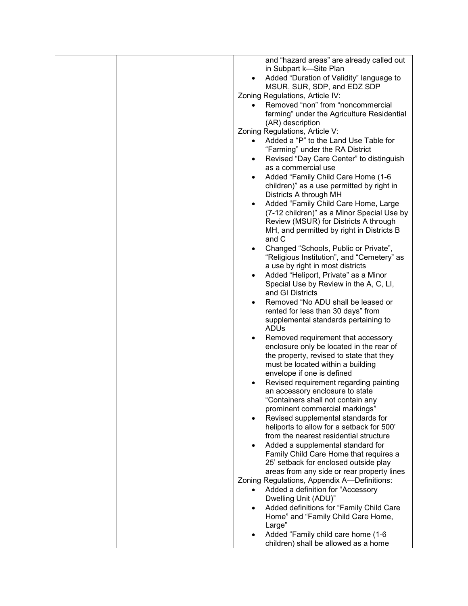| and "hazard areas" are already called out             |
|-------------------------------------------------------|
| in Subpart k-Site Plan                                |
| Added "Duration of Validity" language to              |
| MSUR, SUR, SDP, and EDZ SDP                           |
| Zoning Regulations, Article IV:                       |
| Removed "non" from "noncommercial                     |
|                                                       |
| farming" under the Agriculture Residential            |
| (AR) description                                      |
| Zoning Regulations, Article V:                        |
| Added a "P" to the Land Use Table for<br>$\bullet$    |
| "Farming" under the RA District                       |
| Revised "Day Care Center" to distinguish<br>$\bullet$ |
| as a commercial use                                   |
|                                                       |
| Added "Family Child Care Home (1-6                    |
| children)" as a use permitted by right in             |
| Districts A through MH                                |
| Added "Family Child Care Home, Large                  |
| (7-12 children)" as a Minor Special Use by            |
| Review (MSUR) for Districts A through                 |
| MH, and permitted by right in Districts B             |
| and C                                                 |
| Changed "Schools, Public or Private",                 |
| "Religious Institution", and "Cemetery" as            |
|                                                       |
| a use by right in most districts                      |
| Added "Heliport, Private" as a Minor<br>$\bullet$     |
| Special Use by Review in the A, C, LI,                |
| and GI Districts                                      |
| Removed "No ADU shall be leased or<br>$\bullet$       |
| rented for less than 30 days" from                    |
| supplemental standards pertaining to                  |
| ADU <sub>s</sub>                                      |
|                                                       |
| Removed requirement that accessory                    |
| enclosure only be located in the rear of              |
| the property, revised to state that they              |
| must be located within a building                     |
| envelope if one is defined                            |
| Revised requirement regarding painting                |
| an accessory enclosure to state                       |
| "Containers shall not contain any                     |
| prominent commercial markings"                        |
| Revised supplemental standards for                    |
|                                                       |
| heliports to allow for a setback for 500'             |
| from the nearest residential structure                |
| Added a supplemental standard for                     |
| Family Child Care Home that requires a                |
| 25' setback for enclosed outside play                 |
| areas from any side or rear property lines            |
| Zoning Regulations, Appendix A-Definitions:           |
| Added a definition for "Accessory<br>$\bullet$        |
|                                                       |
| Dwelling Unit (ADU)"                                  |
| Added definitions for "Family Child Care<br>٠         |
| Home" and "Family Child Care Home,                    |
| Large"                                                |
| Added "Family child care home (1-6                    |
| children) shall be allowed as a home                  |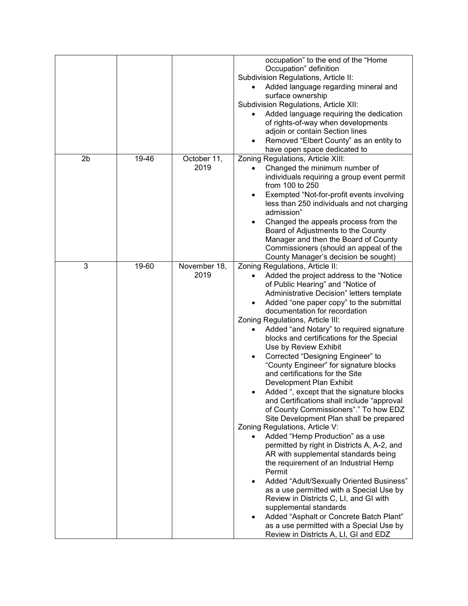|                |       |              | occupation" to the end of the "Home                   |
|----------------|-------|--------------|-------------------------------------------------------|
|                |       |              | Occupation" definition                                |
|                |       |              | Subdivision Regulations, Article II:                  |
|                |       |              | Added language regarding mineral and                  |
|                |       |              | surface ownership                                     |
|                |       |              | Subdivision Regulations, Article XII:                 |
|                |       |              | Added language requiring the dedication               |
|                |       |              | of rights-of-way when developments                    |
|                |       |              | adjoin or contain Section lines                       |
|                |       |              | Removed "Elbert County" as an entity to               |
|                |       |              | have open space dedicated to                          |
| 2 <sub>b</sub> | 19-46 | October 11,  | Zoning Regulations, Article XIII:                     |
|                |       | 2019         | Changed the minimum number of                         |
|                |       |              | individuals requiring a group event permit            |
|                |       |              | from 100 to 250                                       |
|                |       |              | Exempted "Not-for-profit events involving             |
|                |       |              | less than 250 individuals and not charging            |
|                |       |              | admission"                                            |
|                |       |              | Changed the appeals process from the                  |
|                |       |              | Board of Adjustments to the County                    |
|                |       |              | Manager and then the Board of County                  |
|                |       |              | Commissioners (should an appeal of the                |
|                |       |              | County Manager's decision be sought)                  |
| 3              | 19-60 | November 18, | Zoning Regulations, Article II:                       |
|                |       | 2019         |                                                       |
|                |       |              | Added the project address to the "Notice<br>$\bullet$ |
|                |       |              | of Public Hearing" and "Notice of                     |
|                |       |              | Administrative Decision" letters template             |
|                |       |              | Added "one paper copy" to the submittal<br>$\bullet$  |
|                |       |              | documentation for recordation                         |
|                |       |              | Zoning Regulations, Article III:                      |
|                |       |              | Added "and Notary" to required signature<br>$\bullet$ |
|                |       |              | blocks and certifications for the Special             |
|                |       |              | Use by Review Exhibit                                 |
|                |       |              | Corrected "Designing Engineer" to                     |
|                |       |              | "County Engineer" for signature blocks                |
|                |       |              | and certifications for the Site                       |
|                |       |              | Development Plan Exhibit                              |
|                |       |              | Added ", except that the signature blocks             |
|                |       |              | and Certifications shall include "approval            |
|                |       |              | of County Commissioners"." To how EDZ                 |
|                |       |              | Site Development Plan shall be prepared               |
|                |       |              | Zoning Regulations, Article V:                        |
|                |       |              | Added "Hemp Production" as a use<br>$\bullet$         |
|                |       |              | permitted by right in Districts A, A-2, and           |
|                |       |              | AR with supplemental standards being                  |
|                |       |              | the requirement of an Industrial Hemp                 |
|                |       |              | Permit                                                |
|                |       |              | Added "Adult/Sexually Oriented Business"<br>$\bullet$ |
|                |       |              | as a use permitted with a Special Use by              |
|                |       |              | Review in Districts C, LI, and GI with                |
|                |       |              | supplemental standards                                |
|                |       |              | Added "Asphalt or Concrete Batch Plant"               |
|                |       |              | as a use permitted with a Special Use by              |
|                |       |              | Review in Districts A, LI, GI and EDZ                 |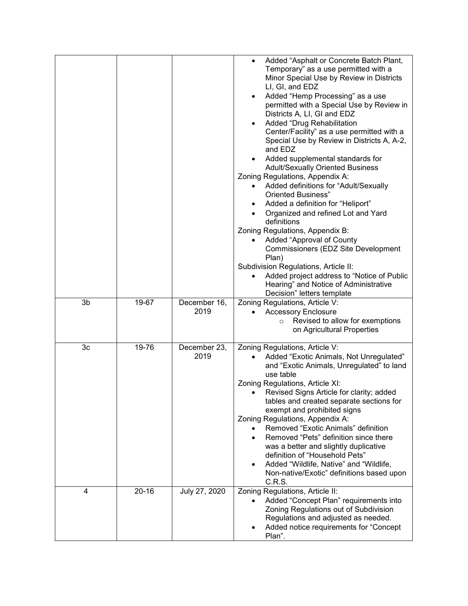|                |           |               | Added "Asphalt or Concrete Batch Plant,<br>Temporary" as a use permitted with a<br>Minor Special Use by Review in Districts<br>LI, GI, and EDZ<br>Added "Hemp Processing" as a use<br>$\bullet$<br>permitted with a Special Use by Review in<br>Districts A, LI, GI and EDZ<br>Added "Drug Rehabilitation<br>$\bullet$<br>Center/Facility" as a use permitted with a<br>Special Use by Review in Districts A, A-2,<br>and EDZ<br>Added supplemental standards for<br><b>Adult/Sexually Oriented Business</b><br>Zoning Regulations, Appendix A:<br>Added definitions for "Adult/Sexually<br><b>Oriented Business"</b><br>Added a definition for "Heliport"<br>Organized and refined Lot and Yard<br>definitions<br>Zoning Regulations, Appendix B:<br>Added "Approval of County<br>Commissioners (EDZ Site Development<br>Plan)<br>Subdivision Regulations, Article II:<br>Added project address to "Notice of Public<br>Hearing" and Notice of Administrative<br>Decision" letters template |
|----------------|-----------|---------------|----------------------------------------------------------------------------------------------------------------------------------------------------------------------------------------------------------------------------------------------------------------------------------------------------------------------------------------------------------------------------------------------------------------------------------------------------------------------------------------------------------------------------------------------------------------------------------------------------------------------------------------------------------------------------------------------------------------------------------------------------------------------------------------------------------------------------------------------------------------------------------------------------------------------------------------------------------------------------------------------|
| 3b             | 19-67     | December 16,  | Zoning Regulations, Article V:                                                                                                                                                                                                                                                                                                                                                                                                                                                                                                                                                                                                                                                                                                                                                                                                                                                                                                                                                               |
|                |           | 2019          | <b>Accessory Enclosure</b>                                                                                                                                                                                                                                                                                                                                                                                                                                                                                                                                                                                                                                                                                                                                                                                                                                                                                                                                                                   |
|                |           |               | Revised to allow for exemptions<br>$\circ$                                                                                                                                                                                                                                                                                                                                                                                                                                                                                                                                                                                                                                                                                                                                                                                                                                                                                                                                                   |
|                |           |               | on Agricultural Properties                                                                                                                                                                                                                                                                                                                                                                                                                                                                                                                                                                                                                                                                                                                                                                                                                                                                                                                                                                   |
| 3 <sub>c</sub> | 19-76     | December 23,  | Zoning Regulations, Article V:                                                                                                                                                                                                                                                                                                                                                                                                                                                                                                                                                                                                                                                                                                                                                                                                                                                                                                                                                               |
|                |           | 2019          | Added "Exotic Animals, Not Unregulated"                                                                                                                                                                                                                                                                                                                                                                                                                                                                                                                                                                                                                                                                                                                                                                                                                                                                                                                                                      |
|                |           |               | and "Exotic Animals, Unregulated" to land<br>use table                                                                                                                                                                                                                                                                                                                                                                                                                                                                                                                                                                                                                                                                                                                                                                                                                                                                                                                                       |
|                |           |               | Zoning Regulations, Article XI:                                                                                                                                                                                                                                                                                                                                                                                                                                                                                                                                                                                                                                                                                                                                                                                                                                                                                                                                                              |
|                |           |               | Revised Signs Article for clarity; added                                                                                                                                                                                                                                                                                                                                                                                                                                                                                                                                                                                                                                                                                                                                                                                                                                                                                                                                                     |
|                |           |               | tables and created separate sections for                                                                                                                                                                                                                                                                                                                                                                                                                                                                                                                                                                                                                                                                                                                                                                                                                                                                                                                                                     |
|                |           |               | exempt and prohibited signs                                                                                                                                                                                                                                                                                                                                                                                                                                                                                                                                                                                                                                                                                                                                                                                                                                                                                                                                                                  |
|                |           |               | Zoning Regulations, Appendix A:<br>Removed "Exotic Animals" definition<br>$\bullet$                                                                                                                                                                                                                                                                                                                                                                                                                                                                                                                                                                                                                                                                                                                                                                                                                                                                                                          |
|                |           |               | Removed "Pets" definition since there<br>$\bullet$                                                                                                                                                                                                                                                                                                                                                                                                                                                                                                                                                                                                                                                                                                                                                                                                                                                                                                                                           |
|                |           |               | was a better and slightly duplicative                                                                                                                                                                                                                                                                                                                                                                                                                                                                                                                                                                                                                                                                                                                                                                                                                                                                                                                                                        |
|                |           |               | definition of "Household Pets"                                                                                                                                                                                                                                                                                                                                                                                                                                                                                                                                                                                                                                                                                                                                                                                                                                                                                                                                                               |
|                |           |               | Added "Wildlife, Native" and "Wildlife,<br>$\bullet$<br>Non-native/Exotic" definitions based upon                                                                                                                                                                                                                                                                                                                                                                                                                                                                                                                                                                                                                                                                                                                                                                                                                                                                                            |
|                |           |               | C.R.S.                                                                                                                                                                                                                                                                                                                                                                                                                                                                                                                                                                                                                                                                                                                                                                                                                                                                                                                                                                                       |
| 4              | $20 - 16$ | July 27, 2020 | Zoning Regulations, Article II:<br>Added "Concept Plan" requirements into<br>$\bullet$                                                                                                                                                                                                                                                                                                                                                                                                                                                                                                                                                                                                                                                                                                                                                                                                                                                                                                       |
|                |           |               | Zoning Regulations out of Subdivision                                                                                                                                                                                                                                                                                                                                                                                                                                                                                                                                                                                                                                                                                                                                                                                                                                                                                                                                                        |
|                |           |               | Regulations and adjusted as needed.                                                                                                                                                                                                                                                                                                                                                                                                                                                                                                                                                                                                                                                                                                                                                                                                                                                                                                                                                          |
|                |           |               | Added notice requirements for "Concept"                                                                                                                                                                                                                                                                                                                                                                                                                                                                                                                                                                                                                                                                                                                                                                                                                                                                                                                                                      |
|                |           |               | Plan".                                                                                                                                                                                                                                                                                                                                                                                                                                                                                                                                                                                                                                                                                                                                                                                                                                                                                                                                                                                       |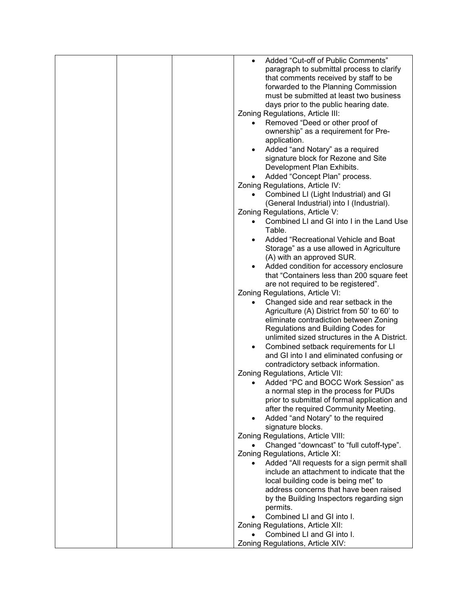|  | Added "Cut-off of Public Comments"                       |
|--|----------------------------------------------------------|
|  | paragraph to submittal process to clarify                |
|  | that comments received by staff to be                    |
|  | forwarded to the Planning Commission                     |
|  |                                                          |
|  | must be submitted at least two business                  |
|  | days prior to the public hearing date.                   |
|  | Zoning Regulations, Article III:                         |
|  | Removed "Deed or other proof of<br>$\bullet$             |
|  | ownership" as a requirement for Pre-                     |
|  | application.                                             |
|  | Added "and Notary" as a required                         |
|  | signature block for Rezone and Site                      |
|  | Development Plan Exhibits.                               |
|  | Added "Concept Plan" process.<br>$\bullet$               |
|  | Zoning Regulations, Article IV:                          |
|  |                                                          |
|  | Combined LI (Light Industrial) and GI                    |
|  | (General Industrial) into I (Industrial).                |
|  | Zoning Regulations, Article V:                           |
|  | Combined LI and GI into I in the Land Use<br>$\bullet$   |
|  | Table.                                                   |
|  | Added "Recreational Vehicle and Boat                     |
|  | Storage" as a use allowed in Agriculture                 |
|  | (A) with an approved SUR.                                |
|  | Added condition for accessory enclosure                  |
|  | that "Containers less than 200 square feet               |
|  | are not required to be registered".                      |
|  | Zoning Regulations, Article VI:                          |
|  | Changed side and rear setback in the                     |
|  | Agriculture (A) District from 50' to 60' to              |
|  | eliminate contradiction between Zoning                   |
|  |                                                          |
|  | Regulations and Building Codes for                       |
|  | unlimited sized structures in the A District.            |
|  | Combined setback requirements for LI<br>$\bullet$        |
|  | and GI into I and eliminated confusing or                |
|  | contradictory setback information.                       |
|  | Zoning Regulations, Article VII:                         |
|  | Added "PC and BOCC Work Session" as                      |
|  | a normal step in the process for PUDs                    |
|  | prior to submittal of formal application and             |
|  | after the required Community Meeting.                    |
|  | Added "and Notary" to the required                       |
|  | signature blocks.                                        |
|  | Zoning Regulations, Article VIII:                        |
|  | Changed "downcast" to "full cutoff-type".                |
|  | Zoning Regulations, Article XI:                          |
|  | Added "All requests for a sign permit shall<br>$\bullet$ |
|  | include an attachment to indicate that the               |
|  | local building code is being met" to                     |
|  | address concerns that have been raised                   |
|  | by the Building Inspectors regarding sign                |
|  |                                                          |
|  | permits.                                                 |
|  | Combined LI and GI into I.                               |
|  | Zoning Regulations, Article XII:                         |
|  | Combined LI and GI into I.<br>$\bullet$                  |
|  | Zoning Regulations, Article XIV:                         |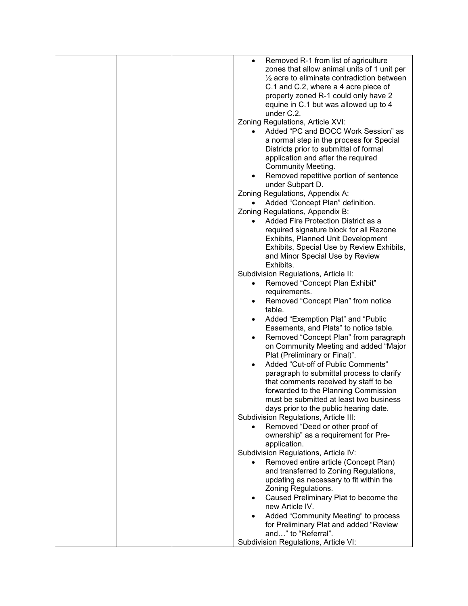|  | Removed R-1 from list of agriculture<br>$\bullet$<br>zones that allow animal units of 1 unit per<br>$\frac{1}{2}$ acre to eliminate contradiction between<br>C.1 and C.2, where a 4 acre piece of<br>property zoned R-1 could only have 2<br>equine in C.1 but was allowed up to 4<br>under C.2.<br>Zoning Regulations, Article XVI:<br>Added "PC and BOCC Work Session" as |
|--|-----------------------------------------------------------------------------------------------------------------------------------------------------------------------------------------------------------------------------------------------------------------------------------------------------------------------------------------------------------------------------|
|  | a normal step in the process for Special<br>Districts prior to submittal of formal<br>application and after the required<br><b>Community Meeting.</b><br>Removed repetitive portion of sentence<br>$\bullet$<br>under Subpart D.                                                                                                                                            |
|  | Zoning Regulations, Appendix A:                                                                                                                                                                                                                                                                                                                                             |
|  | Added "Concept Plan" definition.<br>$\bullet$                                                                                                                                                                                                                                                                                                                               |
|  | Zoning Regulations, Appendix B:                                                                                                                                                                                                                                                                                                                                             |
|  | Added Fire Protection District as a<br>$\bullet$                                                                                                                                                                                                                                                                                                                            |
|  | required signature block for all Rezone                                                                                                                                                                                                                                                                                                                                     |
|  | Exhibits, Planned Unit Development                                                                                                                                                                                                                                                                                                                                          |
|  | Exhibits, Special Use by Review Exhibits,<br>and Minor Special Use by Review                                                                                                                                                                                                                                                                                                |
|  | Exhibits.                                                                                                                                                                                                                                                                                                                                                                   |
|  | Subdivision Regulations, Article II:                                                                                                                                                                                                                                                                                                                                        |
|  | Removed "Concept Plan Exhibit"<br>$\bullet$                                                                                                                                                                                                                                                                                                                                 |
|  | requirements.                                                                                                                                                                                                                                                                                                                                                               |
|  | Removed "Concept Plan" from notice<br>$\bullet$                                                                                                                                                                                                                                                                                                                             |
|  | table.                                                                                                                                                                                                                                                                                                                                                                      |
|  | Added "Exemption Plat" and "Public                                                                                                                                                                                                                                                                                                                                          |
|  | Easements, and Plats" to notice table.                                                                                                                                                                                                                                                                                                                                      |
|  | Removed "Concept Plan" from paragraph<br>$\bullet$<br>on Community Meeting and added "Major                                                                                                                                                                                                                                                                                 |
|  | Plat (Preliminary or Final)".                                                                                                                                                                                                                                                                                                                                               |
|  | Added "Cut-off of Public Comments"                                                                                                                                                                                                                                                                                                                                          |
|  | paragraph to submittal process to clarify                                                                                                                                                                                                                                                                                                                                   |
|  | that comments received by staff to be                                                                                                                                                                                                                                                                                                                                       |
|  | forwarded to the Planning Commission                                                                                                                                                                                                                                                                                                                                        |
|  | must be submitted at least two business                                                                                                                                                                                                                                                                                                                                     |
|  | days prior to the public hearing date.<br>Subdivision Regulations, Article III:                                                                                                                                                                                                                                                                                             |
|  | Removed "Deed or other proof of                                                                                                                                                                                                                                                                                                                                             |
|  | ownership" as a requirement for Pre-                                                                                                                                                                                                                                                                                                                                        |
|  | application.                                                                                                                                                                                                                                                                                                                                                                |
|  | Subdivision Regulations, Article IV:                                                                                                                                                                                                                                                                                                                                        |
|  | Removed entire article (Concept Plan)                                                                                                                                                                                                                                                                                                                                       |
|  | and transferred to Zoning Regulations,                                                                                                                                                                                                                                                                                                                                      |
|  | updating as necessary to fit within the<br>Zoning Regulations.                                                                                                                                                                                                                                                                                                              |
|  | Caused Preliminary Plat to become the<br>$\bullet$                                                                                                                                                                                                                                                                                                                          |
|  | new Article IV.                                                                                                                                                                                                                                                                                                                                                             |
|  | Added "Community Meeting" to process<br>$\bullet$                                                                                                                                                                                                                                                                                                                           |
|  | for Preliminary Plat and added "Review                                                                                                                                                                                                                                                                                                                                      |
|  | and" to "Referral".                                                                                                                                                                                                                                                                                                                                                         |
|  | Subdivision Regulations, Article VI:                                                                                                                                                                                                                                                                                                                                        |